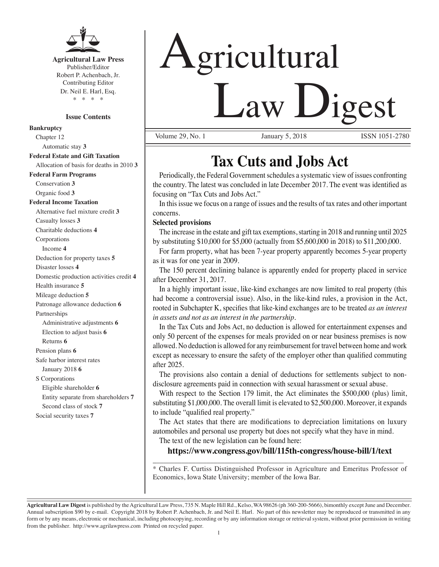

**Agricultural Law Press** Publisher/Editor Robert P. Achenbach, Jr. Contributing Editor Dr. Neil E. Harl, Esq. \* \* \* \*

#### **Issue Contents**

**Bankruptcy** Chapter 12 Automatic stay **3 Federal Estate and Gift Taxation** Allocation of basis for deaths in 2010 **3 Federal Farm Programs** Conservation **3** Organic food **3 Federal Income Taxation** Alternative fuel mixture credit **3** Casualty losses **3** Charitable deductions **4** Corporations Income **4** Deduction for property taxes **5** Disaster losses **4** Domestic production activities credit **4** Health insurance **5** Mileage deduction **5** Patronage allowance deduction **6** Partnerships Administrative adjustments **6** Election to adjust basis **6** Returns **6** Pension plans **6** Safe harbor interest rates January 2018 **6** S Corporations Eligible shareholder **6** Entity separate from shareholders **7** Second class of stock **7** Social security taxes **7**

# Agricultural Law Digest

Volume 29, No. 1 **January 5, 2018** ISSN 1051-2780

# **Tax Cuts and Jobs Act**

Periodically, the Federal Government schedules a systematic view of issues confronting the country. The latest was concluded in late December 2017. The event was identified as focusing on "Tax Cuts and Jobs Act."

In this issue we focus on a range of issues and the results of tax rates and other important concerns.

## **Selected provisions**

The increase in the estate and gift tax exemptions, starting in 2018 and running until 2025 by substituting \$10,000 for \$5,000 (actually from \$5,600,000 in 2018) to \$11,200,000.

For farm property, what has been 7-year property apparently becomes 5-year property as it was for one year in 2009.

The 150 percent declining balance is apparently ended for property placed in service after December 31, 2017.

In a highly important issue, like-kind exchanges are now limited to real property (this had become a controversial issue). Also, in the like-kind rules, a provision in the Act, rooted in Subchapter K, specifies that like-kind exchanges are to be treated *as an interest in assets and not as an interest in the partnership*.

In the Tax Cuts and Jobs Act, no deduction is allowed for entertainment expenses and only 50 percent of the expenses for meals provided on or near business premises is now allowed. No deduction is allowed for any reimbursement for travel between home and work except as necessary to ensure the safety of the employer other than qualified commuting after 2025.

The provisions also contain a denial of deductions for settlements subject to nondisclosure agreements paid in connection with sexual harassment or sexual abuse.

With respect to the Section 179 limit, the Act eliminates the \$500,000 (plus) limit, substituting \$1,000,000. The overall limit is elevated to \$2,500,000. Moreover, it expands to include "qualified real property."

The Act states that there are modifications to depreciation limitations on luxury automobiles and personal use property but does not specify what they have in mind.

The text of the new legislation can be found here:

# **https://www.congress.gov/bill/115th-congress/house-bill/1/text** \_\_\_\_\_\_\_\_\_\_\_\_\_\_\_\_\_\_\_\_\_\_\_\_\_\_\_\_\_\_\_\_\_\_\_\_\_\_\_\_\_\_\_\_\_\_\_\_\_\_\_\_\_\_\_\_\_\_\_\_\_\_\_\_\_\_\_\_\_\_

\* Charles F. Curtiss Distinguished Professor in Agriculture and Emeritus Professor of Economics, Iowa State University; member of the Iowa Bar.

**Agricultural Law Digest** is published by the Agricultural Law Press, 735 N. Maple Hill Rd., Kelso, WA 98626 (ph 360-200-5666), bimonthly except June and December. Annual subscription \$90 by e-mail. Copyright 2018 by Robert P. Achenbach, Jr. and Neil E. Harl. No part of this newsletter may be reproduced or transmitted in any form or by any means, electronic or mechanical, including photocopying, recording or by any information storage or retrieval system, without prior permission in writing from the publisher. http://www.agrilawpress.com Printed on recycled paper.